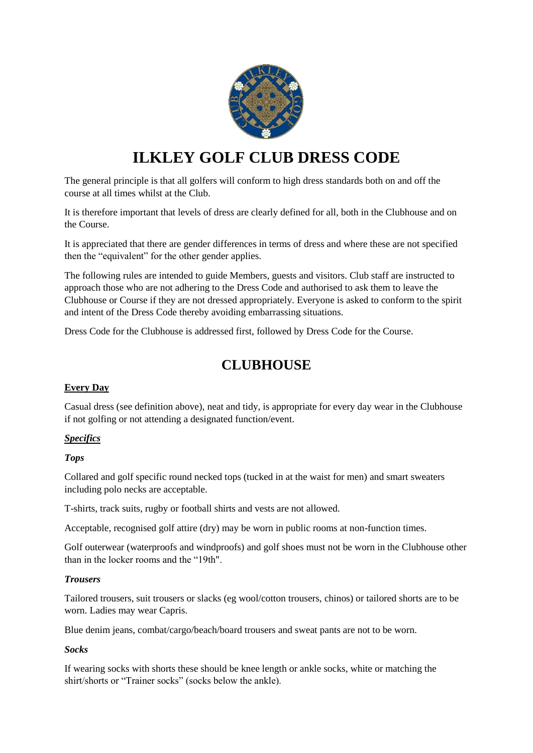

# **ILKLEY GOLF CLUB DRESS CODE**

The general principle is that all golfers will conform to high dress standards both on and off the course at all times whilst at the Club.

It is therefore important that levels of dress are clearly defined for all, both in the Clubhouse and on the Course.

It is appreciated that there are gender differences in terms of dress and where these are not specified then the "equivalent" for the other gender applies.

The following rules are intended to guide Members, guests and visitors. Club staff are instructed to approach those who are not adhering to the Dress Code and authorised to ask them to leave the Clubhouse or Course if they are not dressed appropriately. Everyone is asked to conform to the spirit and intent of the Dress Code thereby avoiding embarrassing situations.

Dress Code for the Clubhouse is addressed first, followed by Dress Code for the Course.

# **CLUBHOUSE**

## **Every Day**

Casual dress (see definition above), neat and tidy, is appropriate for every day wear in the Clubhouse if not golfing or not attending a designated function/event.

## *Specifics*

## *Tops*

Collared and golf specific round necked tops (tucked in at the waist for men) and smart sweaters including polo necks are acceptable.

T-shirts, track suits, rugby or football shirts and vests are not allowed.

Acceptable, recognised golf attire (dry) may be worn in public rooms at non-function times.

Golf outerwear (waterproofs and windproofs) and golf shoes must not be worn in the Clubhouse other than in the locker rooms and the "19th".

## *Trousers*

Tailored trousers, suit trousers or slacks (eg wool/cotton trousers, chinos) or tailored shorts are to be worn. Ladies may wear Capris.

Blue denim jeans, combat/cargo/beach/board trousers and sweat pants are not to be worn.

## *Socks*

If wearing socks with shorts these should be knee length or ankle socks, white or matching the shirt/shorts or "Trainer socks" (socks below the ankle).